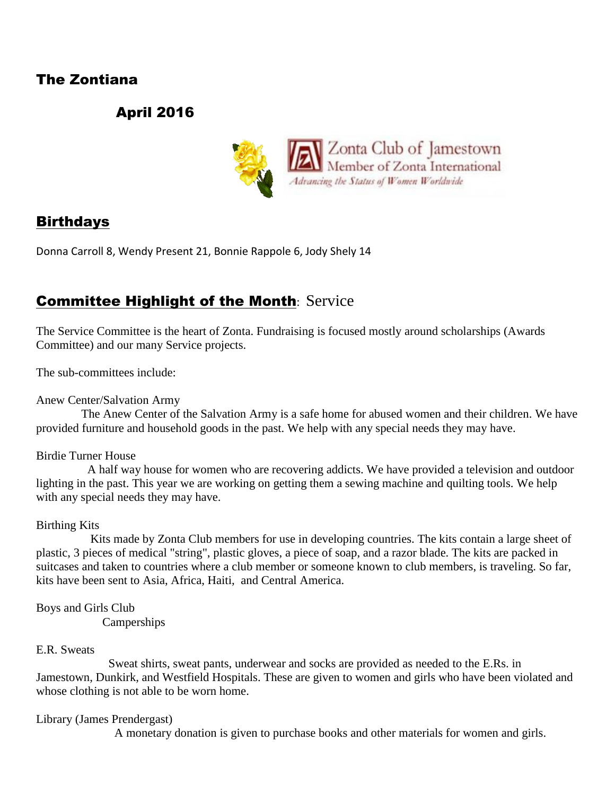## The Zontiana

# April 2016



## **Birthdays**

Donna Carroll 8, Wendy Present 21, Bonnie Rappole 6, Jody Shely 14

# **Committee Highlight of the Month: Service**

The Service Committee is the heart of Zonta. Fundraising is focused mostly around scholarships (Awards Committee) and our many Service projects.

The sub-committees include:

Anew Center/Salvation Army

 The Anew Center of the Salvation Army is a safe home for abused women and their children. We have provided furniture and household goods in the past. We help with any special needs they may have.

### Birdie Turner House

 A half way house for women who are recovering addicts. We have provided a television and outdoor lighting in the past. This year we are working on getting them a sewing machine and quilting tools. We help with any special needs they may have.

### Birthing Kits

 Kits made by Zonta Club members for use in developing countries. The kits contain a large sheet of plastic, 3 pieces of medical "string", plastic gloves, a piece of soap, and a razor blade. The kits are packed in suitcases and taken to countries where a club member or someone known to club members, is traveling. So far, kits have been sent to Asia, Africa, Haiti, and Central America.

Boys and Girls Club Camperships

### E.R. Sweats

 Sweat shirts, sweat pants, underwear and socks are provided as needed to the E.Rs. in Jamestown, Dunkirk, and Westfield Hospitals. These are given to women and girls who have been violated and whose clothing is not able to be worn home.

Library (James Prendergast)

A monetary donation is given to purchase books and other materials for women and girls.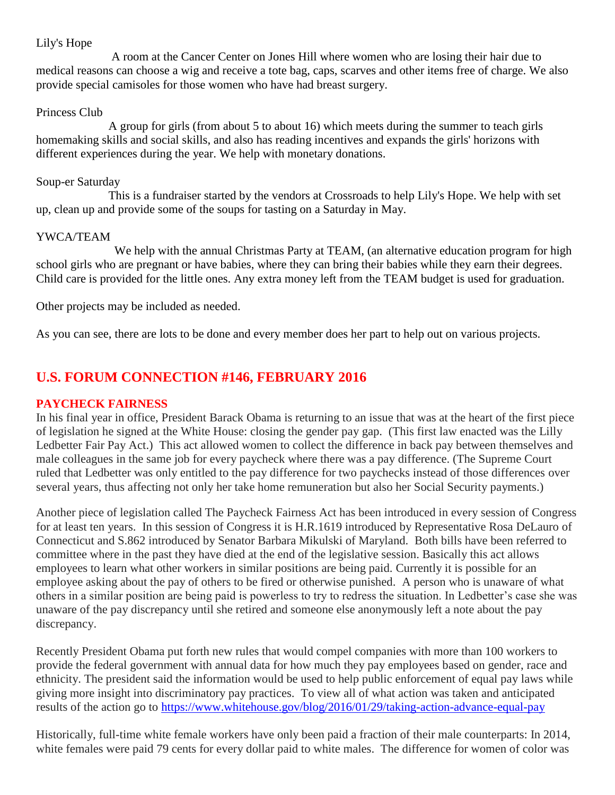### Lily's Hope

 A room at the Cancer Center on Jones Hill where women who are losing their hair due to medical reasons can choose a wig and receive a tote bag, caps, scarves and other items free of charge. We also provide special camisoles for those women who have had breast surgery.

### Princess Club

 A group for girls (from about 5 to about 16) which meets during the summer to teach girls homemaking skills and social skills, and also has reading incentives and expands the girls' horizons with different experiences during the year. We help with monetary donations.

### Soup-er Saturday

 This is a fundraiser started by the vendors at Crossroads to help Lily's Hope. We help with set up, clean up and provide some of the soups for tasting on a Saturday in May.

### YWCA/TEAM

We help with the annual Christmas Party at TEAM, (an alternative education program for high school girls who are pregnant or have babies, where they can bring their babies while they earn their degrees. Child care is provided for the little ones. Any extra money left from the TEAM budget is used for graduation.

Other projects may be included as needed.

As you can see, there are lots to be done and every member does her part to help out on various projects.

## **U.S. FORUM CONNECTION #146, FEBRUARY 2016**

### **PAYCHECK FAIRNESS**

In his final year in office, President Barack Obama is returning to an issue that was at the heart of the first piece of legislation he signed at the White House: closing the gender pay gap. (This first law enacted was the Lilly Ledbetter Fair Pay Act.) This act allowed women to collect the difference in back pay between themselves and male colleagues in the same job for every paycheck where there was a pay difference. (The Supreme Court ruled that Ledbetter was only entitled to the pay difference for two paychecks instead of those differences over several years, thus affecting not only her take home remuneration but also her Social Security payments.)

Another piece of legislation called The Paycheck Fairness Act has been introduced in every session of Congress for at least ten years. In this session of Congress it is H.R.1619 introduced by Representative Rosa DeLauro of Connecticut and S.862 introduced by Senator Barbara Mikulski of Maryland. Both bills have been referred to committee where in the past they have died at the end of the legislative session. Basically this act allows employees to learn what other workers in similar positions are being paid. Currently it is possible for an employee asking about the pay of others to be fired or otherwise punished. A person who is unaware of what others in a similar position are being paid is powerless to try to redress the situation. In Ledbetter's case she was unaware of the pay discrepancy until she retired and someone else anonymously left a note about the pay discrepancy.

Recently President Obama put forth new rules that would compel companies with more than 100 workers to provide the federal government with annual data for how much they pay employees based on gender, race and ethnicity. The president said the information would be used to help public enforcement of equal pay laws while giving more insight into discriminatory pay practices. To view all of what action was taken and anticipated results of the action go to<https://www.whitehouse.gov/blog/2016/01/29/taking-action-advance-equal-pay>

Historically, full-time white female workers have only been paid a fraction of their male counterparts: In 2014, white females were paid 79 cents for every dollar paid to white males. The difference for women of color was